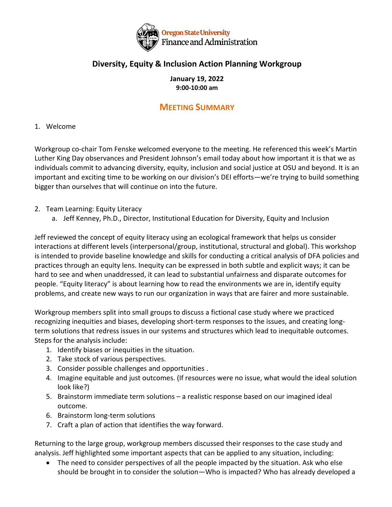

## **Diversity, Equity & Inclusion Action Planning Workgroup**

**January 19, 2022 9:00-10:00 am**

## **MEETING SUMMARY**

## 1. Welcome

Workgroup co-chair Tom Fenske welcomed everyone to the meeting. He referenced this week's Martin Luther King Day observances and President Johnson's email today about how important it is that we as individuals commit to advancing diversity, equity, inclusion and social justice at OSU and beyond. It is an important and exciting time to be working on our division's DEI efforts—we're trying to build something bigger than ourselves that will continue on into the future.

- 2. Team Learning: Equity Literacy
	- a. Jeff Kenney, Ph.D., Director, Institutional Education for Diversity, Equity and Inclusion

Jeff reviewed the concept of equity literacy using an ecological framework that helps us consider interactions at different levels (interpersonal/group, institutional, structural and global). This workshop is intended to provide baseline knowledge and skills for conducting a critical analysis of DFA policies and practices through an equity lens. Inequity can be expressed in both subtle and explicit ways; it can be hard to see and when unaddressed, it can lead to substantial unfairness and disparate outcomes for people. "Equity literacy" is about learning how to read the environments we are in, identify equity problems, and create new ways to run our organization in ways that are fairer and more sustainable.

Workgroup members split into small groups to discuss a fictional case study where we practiced recognizing inequities and biases, developing short-term responses to the issues, and creating longterm solutions that redress issues in our systems and structures which lead to inequitable outcomes. Steps for the analysis include:

- 1. Identify biases or inequities in the situation.
- 2. Take stock of various perspectives.
- 3. Consider possible challenges and opportunities .
- 4. Imagine equitable and just outcomes. (If resources were no issue, what would the ideal solution look like?)
- 5. Brainstorm immediate term solutions a realistic response based on our imagined ideal outcome.
- 6. Brainstorm long-term solutions
- 7. Craft a plan of action that identifies the way forward.

Returning to the large group, workgroup members discussed their responses to the case study and analysis. Jeff highlighted some important aspects that can be applied to any situation, including:

• The need to consider perspectives of all the people impacted by the situation. Ask who else should be brought in to consider the solution—Who is impacted? Who has already developed a